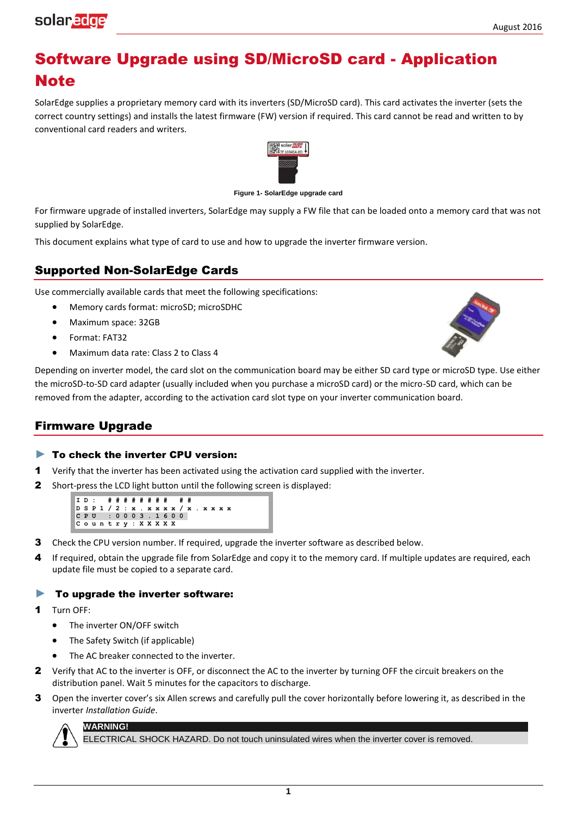# Software Upgrade using SD/MicroSD card - Application **Note**

SolarEdge supplies a proprietary memory card with its inverters (SD/MicroSD card). This card activates the inverter (sets the correct country settings) and installs the latest firmware (FW) version if required. This card cannot be read and written to by conventional card readers and writers.



**Figure 1- SolarEdge upgrade card** 

For firmware upgrade of installed inverters, SolarEdge may supply a FW file that can be loaded onto a memory card that was not supplied by SolarEdge.

This document explains what type of card to use and how to upgrade the inverter firmware version.

## Supported Non-SolarEdge Cards

Use commercially available cards that meet the following specifications:

- Memory cards format: microSD; microSDHC
- Maximum space: 32GB
- Format: FAT32

solaredge

Maximum data rate: Class 2 to Class 4



Depending on inverter model, the card slot on the communication board may be either SD card type or microSD type. Use either the microSD-to-SD card adapter (usually included when you purchase a microSD card) or the micro-SD card, which can be removed from the adapter, according to the activation card slot type on your inverter communication board.

### Firmware Upgrade

#### ► To check the inverter CPU version:

- 1 Verify that the inverter has been activated using the activation card supplied with the inverter.
- 2 Short-press the LCD light button until the following screen is displayed:

**ID: # # # # # # # # # # DSP1 / 2 : x . x x x x / x . x x x x C P U : 0 0 0 3 . 1 6 0 0 C o u n t r y : X X X X X**

- **3** Check the CPU version number. If required, upgrade the inverter software as described below.
- 4 If required, obtain the upgrade file from SolarEdge and copy it to the memory card. If multiple updates are required, each update file must be copied to a separate card.

#### $\blacktriangleright$  To upgrade the inverter software:

- Turn OFF:
	- The inverter ON/OFF switch
	- The Safety Switch (if applicable)
	- The AC breaker connected to the inverter.
- 2 Verify that AC to the inverter is OFF, or disconnect the AC to the inverter by turning OFF the circuit breakers on the distribution panel. Wait 5 minutes for the capacitors to discharge.
- 3 Open the inverter cover's six Allen screws and carefully pull the cover horizontally before lowering it, as described in the inverter *Installation Guide*.



ECTRICAL SHOCK HAZARD. Do not touch uninsulated wires when the inverter cover is removed.